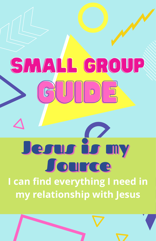# SMALL GROUP  $\begin{array}{c} \hline \textbf{D} \end{array}$ Jesus is my Jource I can find everything I need in my relationship with Jesus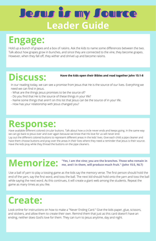## **Leader Guide** Jesus is my Source

## **Engage:**

Hold up a bunch of grapes and a box of raisins. Ask the kids to name some differences between the two. Talk about how grapes grow in bunches, and since they are connected to the vine, they become grapes. However, when they fall off, they wither and shrivel up and become raisins.

### **Discuss:**

#### **Have the kids open their Bibles and read together John 15:1-8**

In our reading today, we can see a promise from Jesus that He is the source of our lives. Everything we need we can find in Jesus.

- What are the things Jesus promises to be the source of?
- Do you find that He is the source of these things in your life?
- Name some things that aren't on this list that Jesus can be the source of in your life.
- How has your relationship with Jesus changed you?

#### **Response:**

Have available different colored circular buttons. Talk about how a circle never ends and keeps going. In the same way we can go back to Jesus over and over again because we know that His love for us will never end. Lay out the different colored buttons to represent different areas in the kids' lives. Give each child a pipe cleaner and have them choose buttons and pray over the areas in their lives where they need a reminder that Jesus is their source. Have the kids pray while they thread the buttons on the pipe cleaners.

#### **Memorize:** We and I in the vine; you are the branches. Those who remain in  $\mathbb{R}$  me, and I in them, will produce much fruit." (John 15:5, NLT) **me, and I in them, will produce much fruit." (John 15:5, NLT)**

Use a ball of yarn to play a tossing game as the kids say the memory verse. The first person should hold the end of the yarn, say the first word, and toss the ball. The next kid should hold onto the yarn and toss the ball while saying the next word. As this continues, it will create a giant web among the students. Repeat the game as many times as you like.

## **Create:**

Look online for instructions on how to make a "Never Ending Card." Give the kids paper, glue, scissors, and stickers, and allow them to create their own. Remind them that just as this card doesn't have an ending, neither does God's love for them. They can turn to Jesus anytime, day and night.